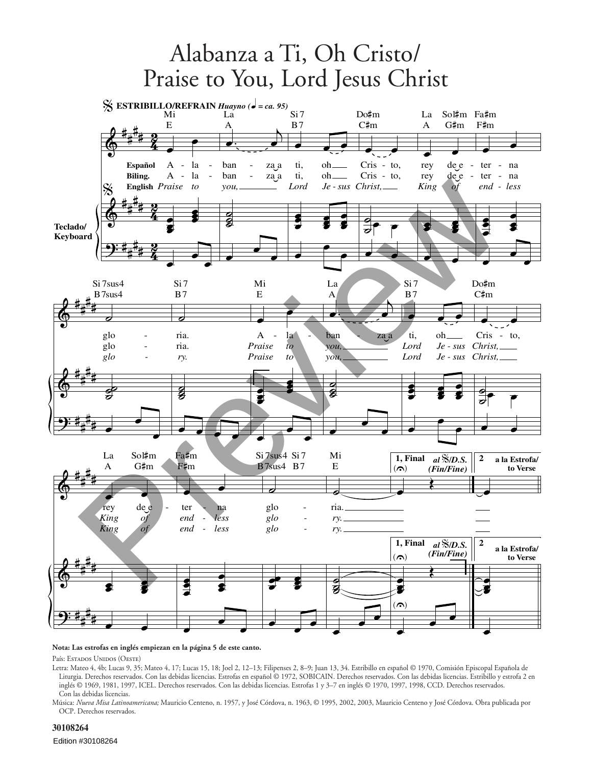

## **Nota: Las estrofas en inglés empiezan en la página 5 de este canto.**

País: Estados Unidos (Oeste)

Letra: Mateo 4, 4b; Lucas 9, 35; Mateo 4, 17; Lucas 15, 18; Joel 2, 12–13; Filipenses 2, 8–9; Juan 13, 34. Estribillo en español © 1970, Comisión Episcopal Española de Liturgia. Derechos reservados. Con las debidas licencias. Estrofas en español © 1972, SOBICAIN. Derechos reservados. Con las debidas licencias. Estribillo y estrofa 2 en inglés © 1969, 1981, 1997, ICEL. Derechos reservados. Con las debidas licencias. Estrofas 1 y 3–7 en inglés © 1970, 1997, 1998, CCD. Derechos reservados. Con las debidas licencias.

Música: *Nueva Misa Latinoamericana;* Mauricio Centeno, n. 1957, y José Córdova, n. 1963, © 1995, 2002, 2003, Mauricio Centeno y José Córdova. Obra publicada por OCP. Derechos reservados.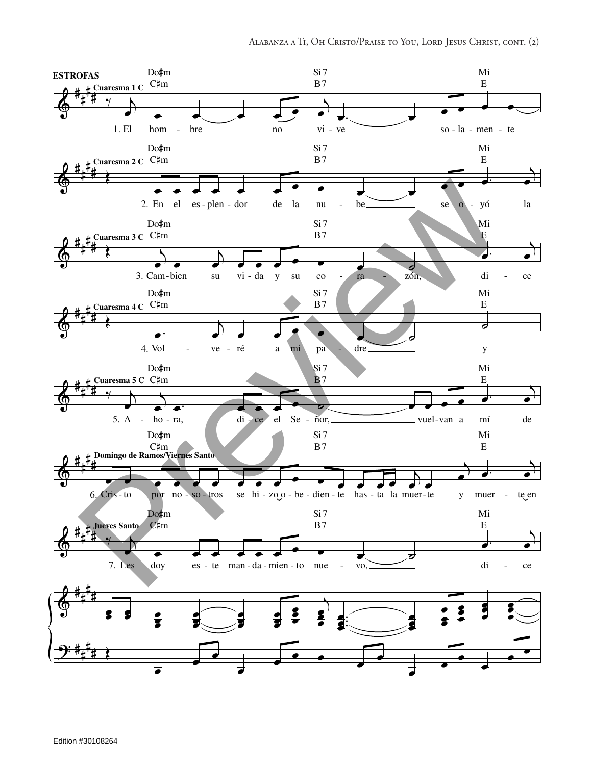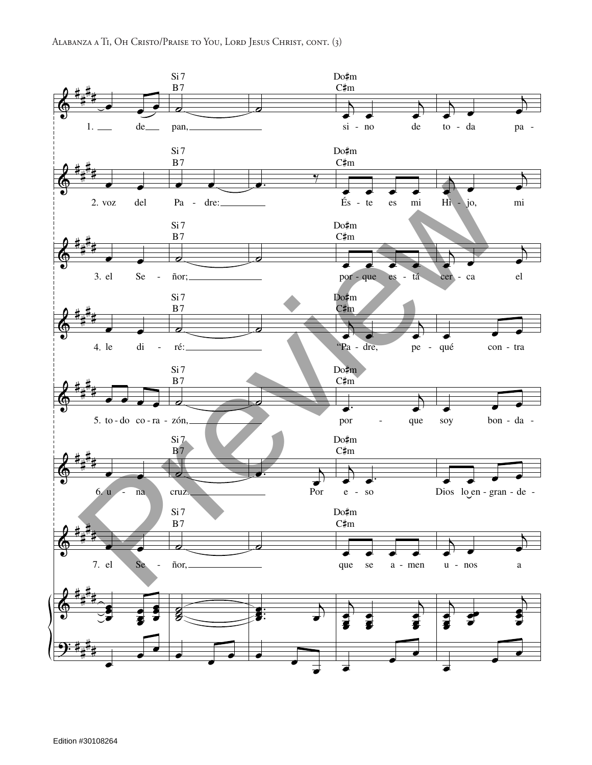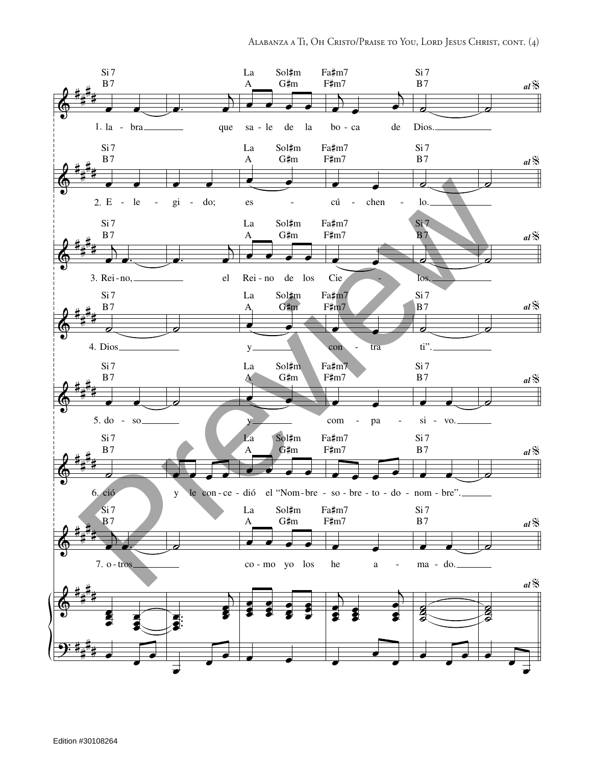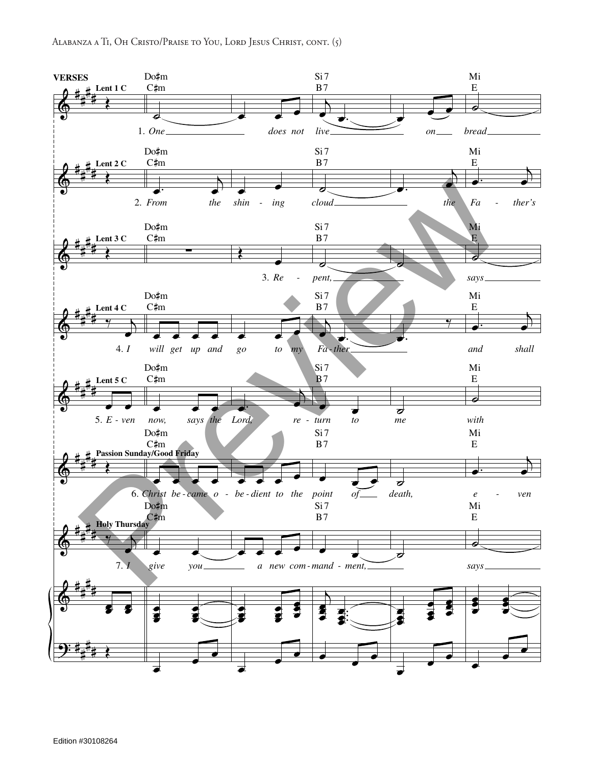

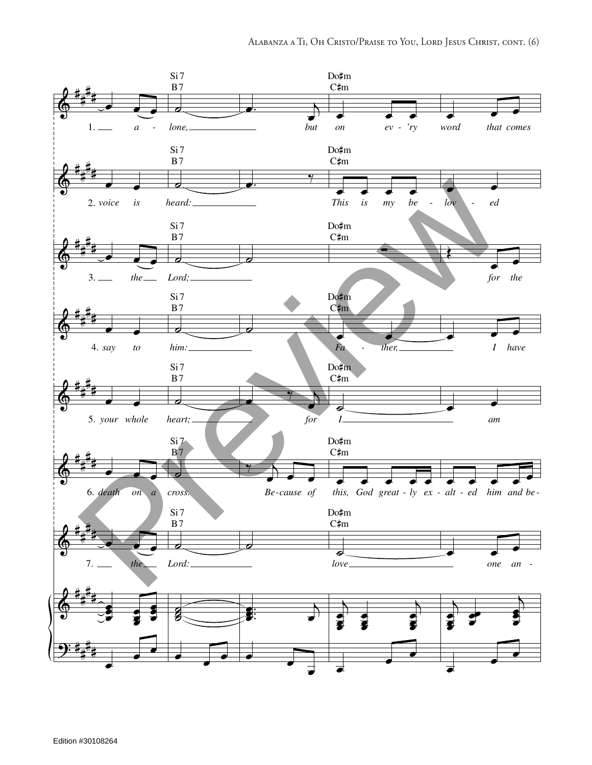